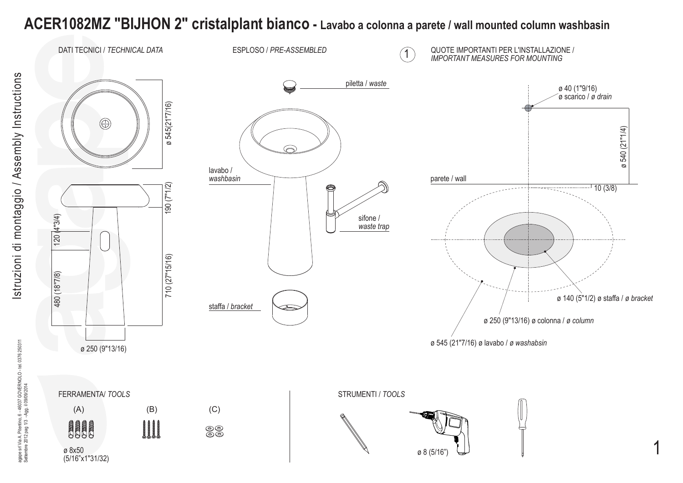## **ACER1082MZ "BIJHON 2" cristalplant bianco - Lavabo a colonna a parete / wall mounted column washbasin**

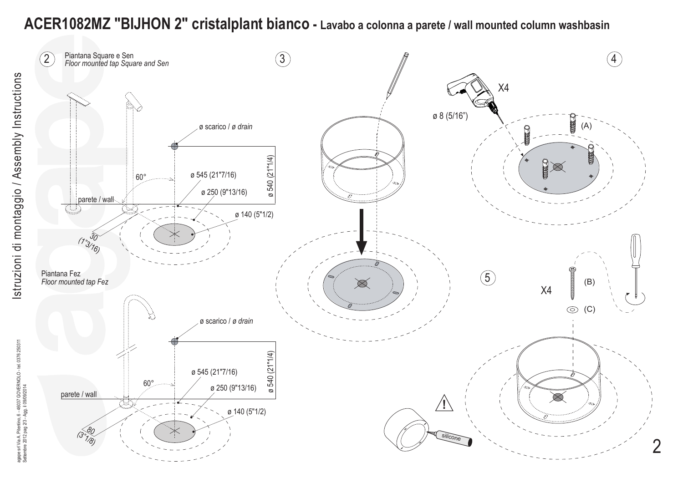## **ACER1082MZ "BIJHON 2" cristalplant bianco - Lavabo a colonna a parete / wall mounted column washbasin**